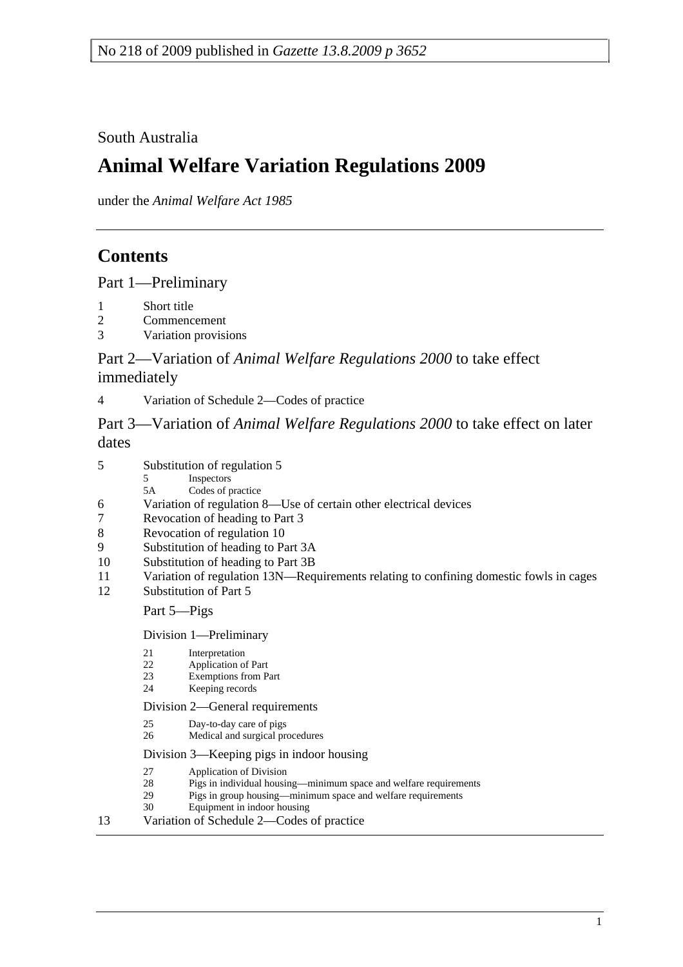South Australia

# **Animal Welfare Variation Regulations 2009**

under the *Animal Welfare Act 1985*

## **Contents**

Part 1—Preliminary

- 1 Short title
- 2 Commencement
- 3 Variation provisions

Part 2—Variation of *Animal Welfare Regulations 2000* to take effect immediately

4 Variation of Schedule 2—Codes of practice

Part 3—Variation of *Animal Welfare Regulations 2000* to take effect on later dates

- 5 Inspectors
- 5A Codes of practice
- 6 Variation of regulation 8—Use of certain other electrical devices
- 7 Revocation of heading to Part 3
- 8 Revocation of regulation 10
- 9 Substitution of heading to Part 3A
- 10 Substitution of heading to Part 3B
- 11 Variation of regulation 13N—Requirements relating to confining domestic fowls in cages
- 12 Substitution of Part 5

#### Part 5—Pigs

Division 1—Preliminary

- 21 Interpretation
- 22 Application of Part
- 23 Exemptions from Part
- 24 Keeping records

Division 2—General requirements

- 25 Day-to-day care of pigs
- 26 Medical and surgical procedures

#### Division 3—Keeping pigs in indoor housing

- 27 Application of Division
- 28 Pigs in individual housing—minimum space and welfare requirements
- 29 Pigs in group housing—minimum space and welfare requirements
- 30 Equipment in indoor housing

#### 13 Variation of Schedule 2—Codes of practice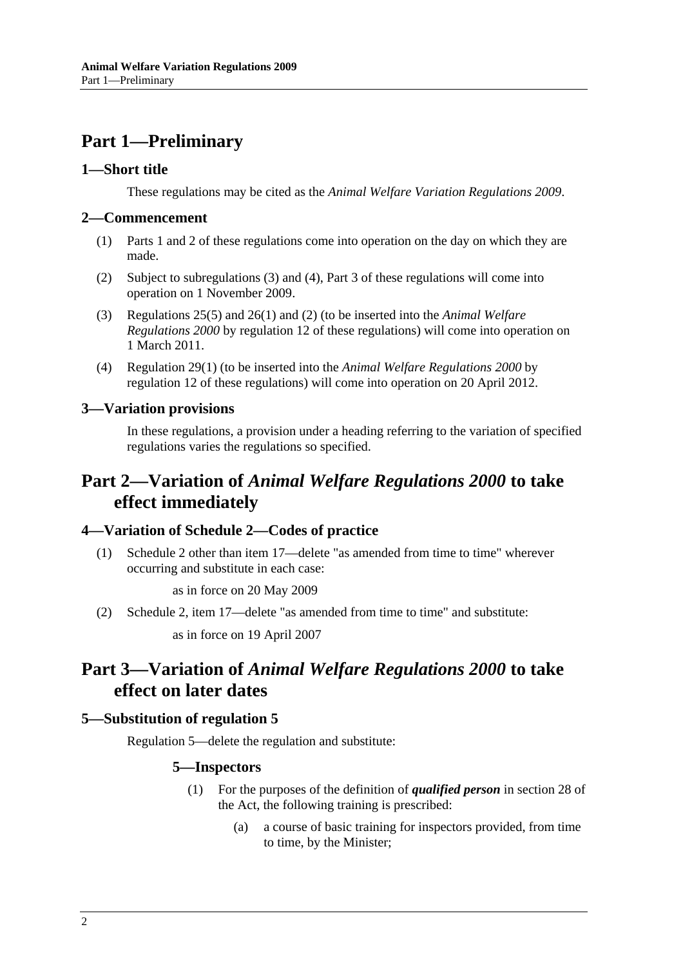## **Part 1—Preliminary**

#### **1—Short title**

These regulations may be cited as the *Animal Welfare Variation Regulations 2009*.

#### **2—Commencement**

- (1) Parts 1 and 2 of these regulations come into operation on the day on which they are made.
- (2) Subject to subregulations (3) and (4), Part 3 of these regulations will come into operation on 1 November 2009.
- (3) Regulations 25(5) and 26(1) and (2) (to be inserted into the *Animal Welfare Regulations 2000* by regulation 12 of these regulations) will come into operation on 1 March 2011.
- (4) Regulation 29(1) (to be inserted into the *Animal Welfare Regulations 2000* by regulation 12 of these regulations) will come into operation on 20 April 2012.

#### **3—Variation provisions**

In these regulations, a provision under a heading referring to the variation of specified regulations varies the regulations so specified.

## **Part 2—Variation of** *Animal Welfare Regulations 2000* **to take effect immediately**

#### **4—Variation of Schedule 2—Codes of practice**

 (1) Schedule 2 other than item 17—delete "as amended from time to time" wherever occurring and substitute in each case:

as in force on 20 May 2009

(2) Schedule 2, item 17—delete "as amended from time to time" and substitute:

as in force on 19 April 2007

## **Part 3—Variation of** *Animal Welfare Regulations 2000* **to take effect on later dates**

#### **5—Substitution of regulation 5**

Regulation 5—delete the regulation and substitute:

#### **5—Inspectors**

- (1) For the purposes of the definition of *qualified person* in section 28 of the Act, the following training is prescribed:
	- (a) a course of basic training for inspectors provided, from time to time, by the Minister;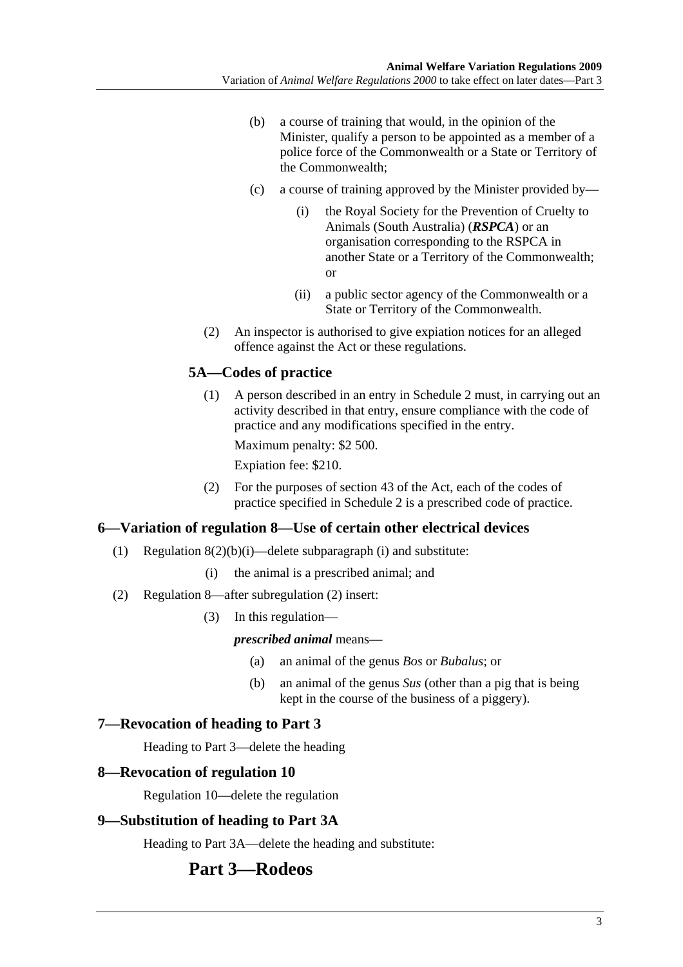- (b) a course of training that would, in the opinion of the Minister, qualify a person to be appointed as a member of a police force of the Commonwealth or a State or Territory of the Commonwealth;
- (c) a course of training approved by the Minister provided by—
	- (i) the Royal Society for the Prevention of Cruelty to Animals (South Australia) (*RSPCA*) or an organisation corresponding to the RSPCA in another State or a Territory of the Commonwealth; or
	- (ii) a public sector agency of the Commonwealth or a State or Territory of the Commonwealth.
- (2) An inspector is authorised to give expiation notices for an alleged offence against the Act or these regulations.

## **5A—Codes of practice**

 (1) A person described in an entry in Schedule 2 must, in carrying out an activity described in that entry, ensure compliance with the code of practice and any modifications specified in the entry.

Maximum penalty: \$2 500.

Expiation fee: \$210.

 (2) For the purposes of section 43 of the Act, each of the codes of practice specified in Schedule 2 is a prescribed code of practice.

#### **6—Variation of regulation 8—Use of certain other electrical devices**

- (1) Regulation  $8(2)(b)(i)$ —delete subparagraph (i) and substitute:
	- (i) the animal is a prescribed animal; and
- (2) Regulation 8—after subregulation (2) insert:
	- (3) In this regulation—

#### *prescribed animal* means—

- (a) an animal of the genus *Bos* or *Bubalus*; or
- (b) an animal of the genus *Sus* (other than a pig that is being kept in the course of the business of a piggery).

#### **7—Revocation of heading to Part 3**

Heading to Part 3—delete the heading

#### **8—Revocation of regulation 10**

Regulation 10—delete the regulation

#### **9—Substitution of heading to Part 3A**

Heading to Part 3A—delete the heading and substitute:

## **Part 3—Rodeos**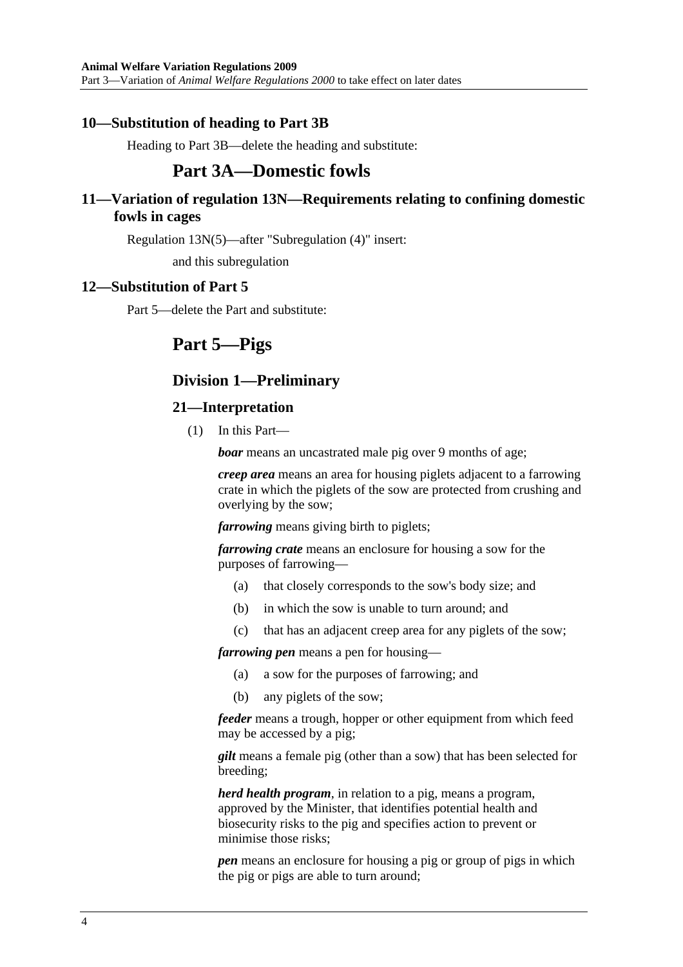#### **10—Substitution of heading to Part 3B**

Heading to Part 3B—delete the heading and substitute:

## **Part 3A—Domestic fowls**

#### **11—Variation of regulation 13N—Requirements relating to confining domestic fowls in cages**

Regulation 13N(5)—after "Subregulation (4)" insert:

and this subregulation

#### **12—Substitution of Part 5**

Part 5—delete the Part and substitute:

## **Part 5—Pigs**

## **Division 1—Preliminary**

#### **21—Interpretation**

(1) In this Part—

*boar* means an uncastrated male pig over 9 months of age;

*creep area* means an area for housing piglets adjacent to a farrowing crate in which the piglets of the sow are protected from crushing and overlying by the sow;

*farrowing* means giving birth to piglets;

*farrowing crate* means an enclosure for housing a sow for the purposes of farrowing—

- (a) that closely corresponds to the sow's body size; and
- (b) in which the sow is unable to turn around; and
- (c) that has an adjacent creep area for any piglets of the sow;

*farrowing pen* means a pen for housing—

- (a) a sow for the purposes of farrowing; and
- (b) any piglets of the sow;

*feeder* means a trough, hopper or other equipment from which feed may be accessed by a pig;

*gilt* means a female pig (other than a sow) that has been selected for breeding;

*herd health program*, in relation to a pig, means a program, approved by the Minister, that identifies potential health and biosecurity risks to the pig and specifies action to prevent or minimise those risks;

*pen* means an enclosure for housing a pig or group of pigs in which the pig or pigs are able to turn around;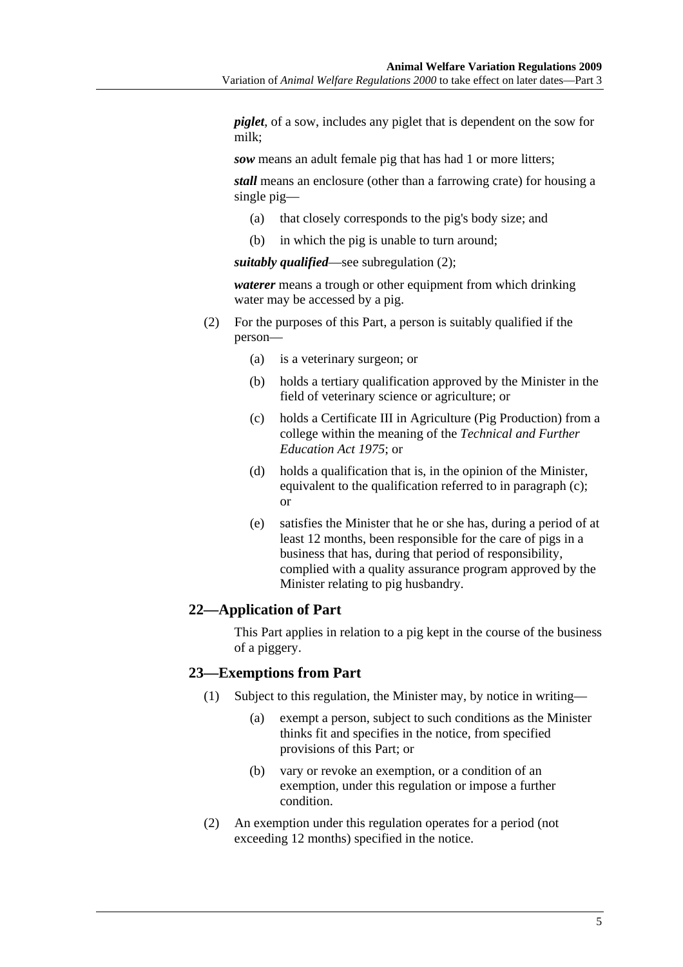*piglet*, of a sow, includes any piglet that is dependent on the sow for milk;

*sow* means an adult female pig that has had 1 or more litters;

*stall* means an enclosure (other than a farrowing crate) for housing a single pig—

- (a) that closely corresponds to the pig's body size; and
- (b) in which the pig is unable to turn around;

*suitably qualified*—see subregulation (2);

*waterer* means a trough or other equipment from which drinking water may be accessed by a pig.

- (2) For the purposes of this Part, a person is suitably qualified if the person—
	- (a) is a veterinary surgeon; or
	- (b) holds a tertiary qualification approved by the Minister in the field of veterinary science or agriculture; or
	- (c) holds a Certificate III in Agriculture (Pig Production) from a college within the meaning of the *Technical and Further Education Act 1975*; or
	- (d) holds a qualification that is, in the opinion of the Minister, equivalent to the qualification referred to in paragraph (c); or
	- (e) satisfies the Minister that he or she has, during a period of at least 12 months, been responsible for the care of pigs in a business that has, during that period of responsibility, complied with a quality assurance program approved by the Minister relating to pig husbandry.

#### **22—Application of Part**

This Part applies in relation to a pig kept in the course of the business of a piggery.

#### **23—Exemptions from Part**

- (1) Subject to this regulation, the Minister may, by notice in writing—
	- (a) exempt a person, subject to such conditions as the Minister thinks fit and specifies in the notice, from specified provisions of this Part; or
	- (b) vary or revoke an exemption, or a condition of an exemption, under this regulation or impose a further condition.
- (2) An exemption under this regulation operates for a period (not exceeding 12 months) specified in the notice.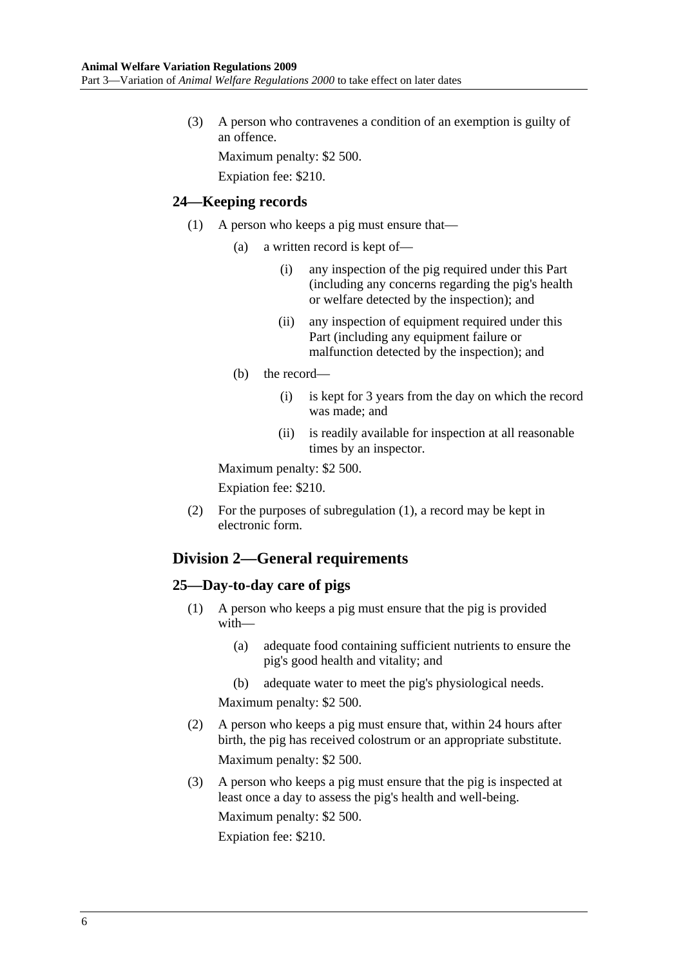(3) A person who contravenes a condition of an exemption is guilty of an offence.

Maximum penalty: \$2 500.

Expiation fee: \$210.

#### **24—Keeping records**

- (1) A person who keeps a pig must ensure that—
	- (a) a written record is kept of—
		- (i) any inspection of the pig required under this Part (including any concerns regarding the pig's health or welfare detected by the inspection); and
		- (ii) any inspection of equipment required under this Part (including any equipment failure or malfunction detected by the inspection); and
	- (b) the record—
		- (i) is kept for 3 years from the day on which the record was made; and
		- (ii) is readily available for inspection at all reasonable times by an inspector.

Maximum penalty: \$2 500.

Expiation fee: \$210.

 (2) For the purposes of subregulation (1), a record may be kept in electronic form.

## **Division 2—General requirements**

#### **25—Day-to-day care of pigs**

- (1) A person who keeps a pig must ensure that the pig is provided with—
	- (a) adequate food containing sufficient nutrients to ensure the pig's good health and vitality; and
	- (b) adequate water to meet the pig's physiological needs.

Maximum penalty: \$2 500.

- (2) A person who keeps a pig must ensure that, within 24 hours after birth, the pig has received colostrum or an appropriate substitute. Maximum penalty: \$2 500.
- (3) A person who keeps a pig must ensure that the pig is inspected at least once a day to assess the pig's health and well-being. Maximum penalty: \$2 500. Expiation fee: \$210.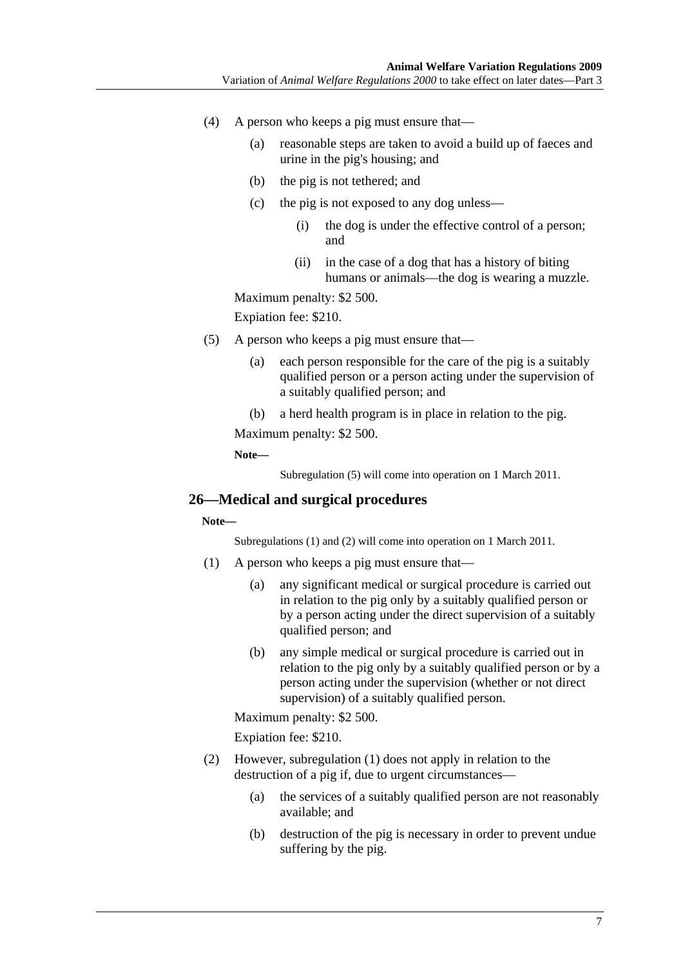- (4) A person who keeps a pig must ensure that—
	- (a) reasonable steps are taken to avoid a build up of faeces and urine in the pig's housing; and
	- (b) the pig is not tethered; and
	- (c) the pig is not exposed to any dog unless—
		- (i) the dog is under the effective control of a person; and
		- (ii) in the case of a dog that has a history of biting humans or animals—the dog is wearing a muzzle.

Maximum penalty: \$2 500.

Expiation fee: \$210.

- (5) A person who keeps a pig must ensure that—
	- (a) each person responsible for the care of the pig is a suitably qualified person or a person acting under the supervision of a suitably qualified person; and
	- (b) a herd health program is in place in relation to the pig.

Maximum penalty: \$2 500.

**Note—** 

Subregulation (5) will come into operation on 1 March 2011.

#### **26—Medical and surgical procedures**

**Note—** 

Subregulations (1) and (2) will come into operation on 1 March 2011.

- (1) A person who keeps a pig must ensure that—
	- (a) any significant medical or surgical procedure is carried out in relation to the pig only by a suitably qualified person or by a person acting under the direct supervision of a suitably qualified person; and
	- (b) any simple medical or surgical procedure is carried out in relation to the pig only by a suitably qualified person or by a person acting under the supervision (whether or not direct supervision) of a suitably qualified person.

Maximum penalty: \$2 500.

Expiation fee: \$210.

- (2) However, subregulation (1) does not apply in relation to the destruction of a pig if, due to urgent circumstances—
	- (a) the services of a suitably qualified person are not reasonably available; and
	- (b) destruction of the pig is necessary in order to prevent undue suffering by the pig.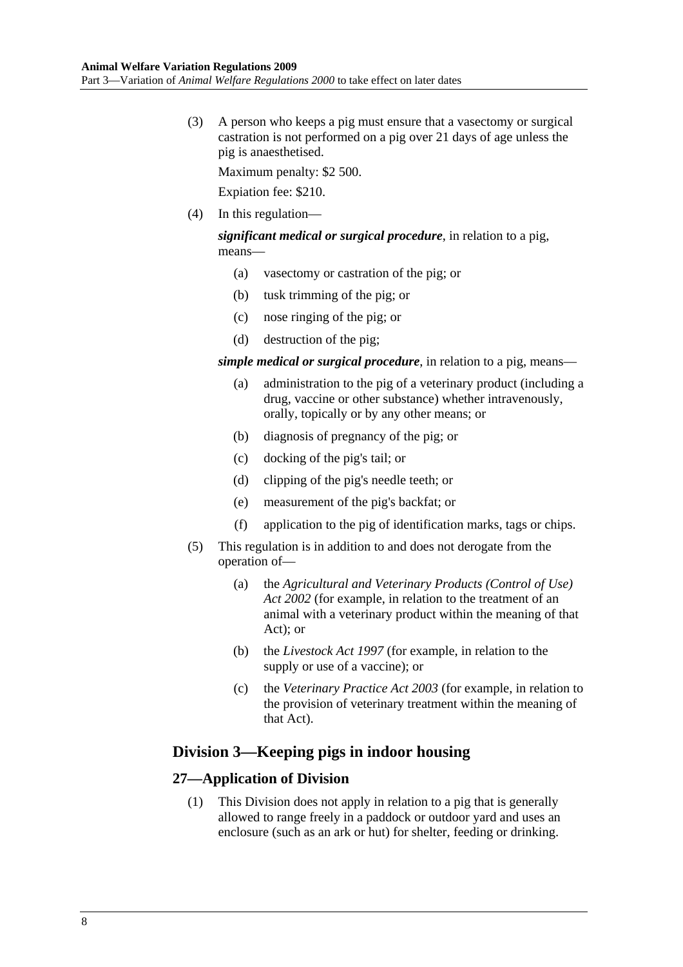(3) A person who keeps a pig must ensure that a vasectomy or surgical castration is not performed on a pig over 21 days of age unless the pig is anaesthetised.

Maximum penalty: \$2 500.

Expiation fee: \$210.

(4) In this regulation—

*significant medical or surgical procedure*, in relation to a pig, means—

- (a) vasectomy or castration of the pig; or
- (b) tusk trimming of the pig; or
- (c) nose ringing of the pig; or
- (d) destruction of the pig;

*simple medical or surgical procedure*, in relation to a pig, means—

- (a) administration to the pig of a veterinary product (including a drug, vaccine or other substance) whether intravenously, orally, topically or by any other means; or
- (b) diagnosis of pregnancy of the pig; or
- (c) docking of the pig's tail; or
- (d) clipping of the pig's needle teeth; or
- (e) measurement of the pig's backfat; or
- (f) application to the pig of identification marks, tags or chips.
- (5) This regulation is in addition to and does not derogate from the operation of—
	- (a) the *Agricultural and Veterinary Products (Control of Use) Act 2002* (for example, in relation to the treatment of an animal with a veterinary product within the meaning of that Act); or
	- (b) the *Livestock Act 1997* (for example, in relation to the supply or use of a vaccine); or
	- (c) the *Veterinary Practice Act 2003* (for example, in relation to the provision of veterinary treatment within the meaning of that Act).

## **Division 3—Keeping pigs in indoor housing**

#### **27—Application of Division**

 (1) This Division does not apply in relation to a pig that is generally allowed to range freely in a paddock or outdoor yard and uses an enclosure (such as an ark or hut) for shelter, feeding or drinking.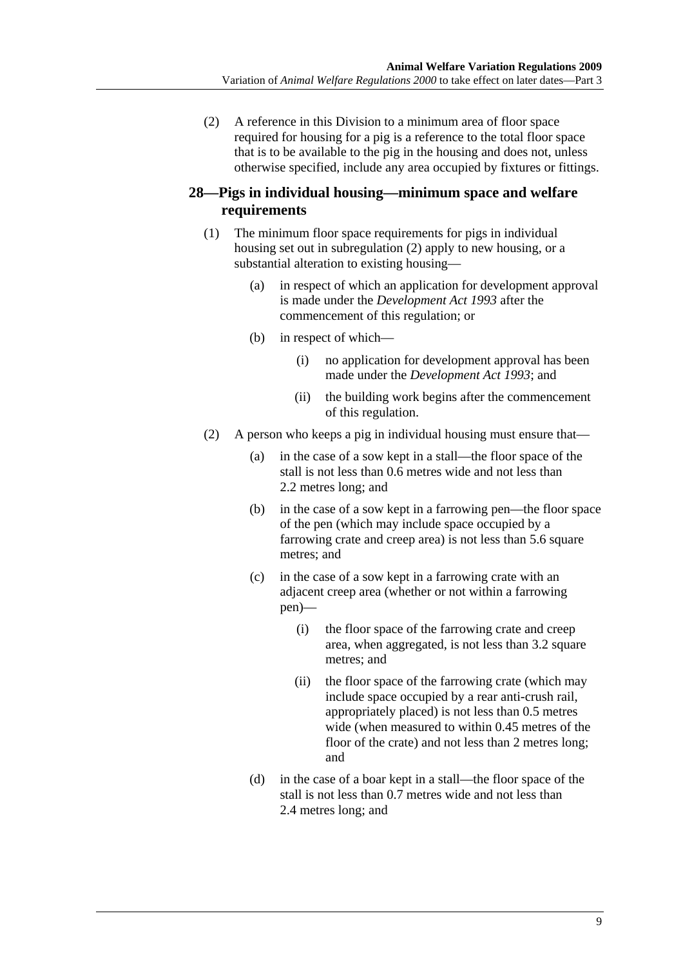(2) A reference in this Division to a minimum area of floor space required for housing for a pig is a reference to the total floor space that is to be available to the pig in the housing and does not, unless otherwise specified, include any area occupied by fixtures or fittings.

## **28—Pigs in individual housing—minimum space and welfare requirements**

- (1) The minimum floor space requirements for pigs in individual housing set out in subregulation (2) apply to new housing, or a substantial alteration to existing housing—
	- (a) in respect of which an application for development approval is made under the *Development Act 1993* after the commencement of this regulation; or
	- (b) in respect of which—
		- (i) no application for development approval has been made under the *Development Act 1993*; and
		- (ii) the building work begins after the commencement of this regulation.
- (2) A person who keeps a pig in individual housing must ensure that—
	- (a) in the case of a sow kept in a stall—the floor space of the stall is not less than 0.6 metres wide and not less than 2.2 metres long; and
	- (b) in the case of a sow kept in a farrowing pen—the floor space of the pen (which may include space occupied by a farrowing crate and creep area) is not less than 5.6 square metres; and
	- (c) in the case of a sow kept in a farrowing crate with an adjacent creep area (whether or not within a farrowing pen)—
		- (i) the floor space of the farrowing crate and creep area, when aggregated, is not less than 3.2 square metres; and
		- (ii) the floor space of the farrowing crate (which may include space occupied by a rear anti-crush rail, appropriately placed) is not less than 0.5 metres wide (when measured to within 0.45 metres of the floor of the crate) and not less than 2 metres long; and
	- (d) in the case of a boar kept in a stall—the floor space of the stall is not less than 0.7 metres wide and not less than 2.4 metres long; and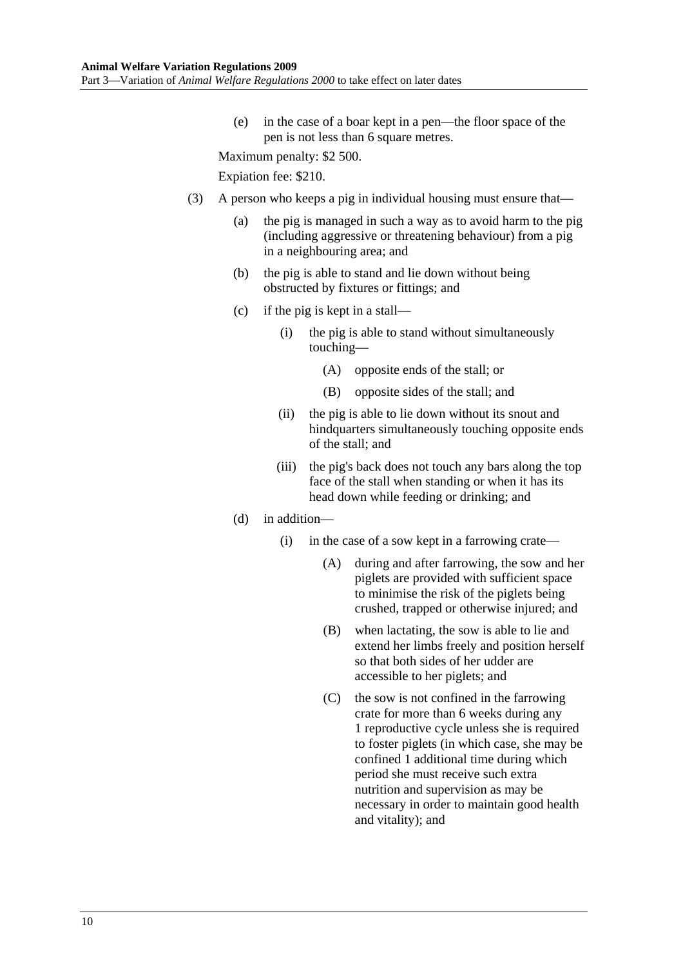(e) in the case of a boar kept in a pen—the floor space of the pen is not less than 6 square metres.

Maximum penalty: \$2 500.

Expiation fee: \$210.

- (3) A person who keeps a pig in individual housing must ensure that—
	- (a) the pig is managed in such a way as to avoid harm to the pig (including aggressive or threatening behaviour) from a pig in a neighbouring area; and
	- (b) the pig is able to stand and lie down without being obstructed by fixtures or fittings; and
	- (c) if the pig is kept in a stall—
		- (i) the pig is able to stand without simultaneously touching—
			- (A) opposite ends of the stall; or
			- (B) opposite sides of the stall; and
		- (ii) the pig is able to lie down without its snout and hindquarters simultaneously touching opposite ends of the stall; and
		- (iii) the pig's back does not touch any bars along the top face of the stall when standing or when it has its head down while feeding or drinking; and
	- (d) in addition—
		- (i) in the case of a sow kept in a farrowing crate—
			- (A) during and after farrowing, the sow and her piglets are provided with sufficient space to minimise the risk of the piglets being crushed, trapped or otherwise injured; and
			- (B) when lactating, the sow is able to lie and extend her limbs freely and position herself so that both sides of her udder are accessible to her piglets; and
			- (C) the sow is not confined in the farrowing crate for more than 6 weeks during any 1 reproductive cycle unless she is required to foster piglets (in which case, she may be confined 1 additional time during which period she must receive such extra nutrition and supervision as may be necessary in order to maintain good health and vitality); and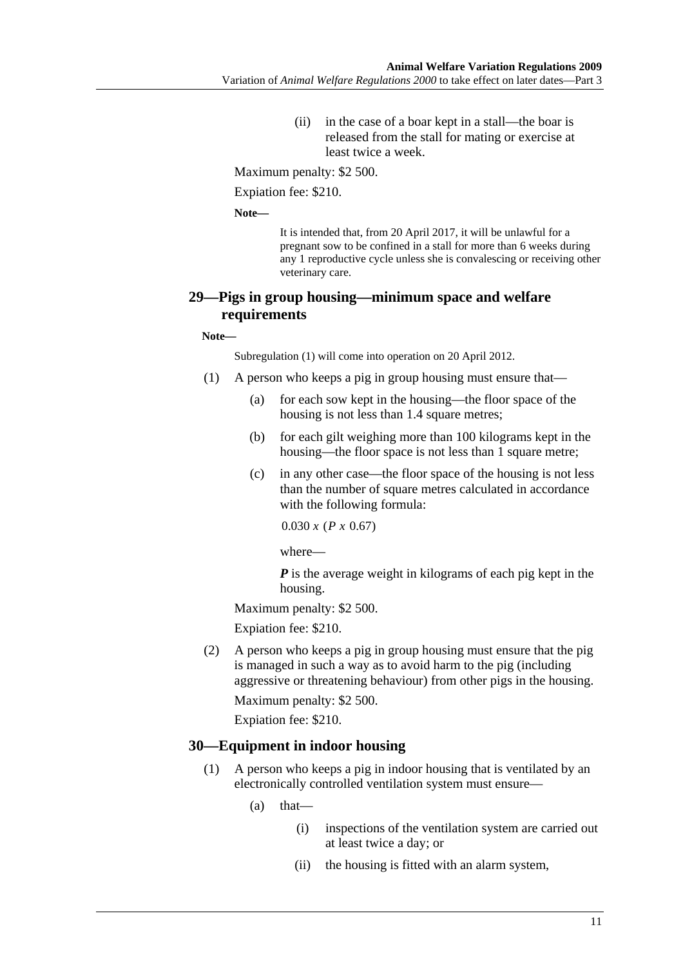(ii) in the case of a boar kept in a stall—the boar is released from the stall for mating or exercise at least twice a week.

Maximum penalty: \$2 500.

Expiation fee: \$210.

**Note—** 

It is intended that, from 20 April 2017, it will be unlawful for a pregnant sow to be confined in a stall for more than 6 weeks during any 1 reproductive cycle unless she is convalescing or receiving other veterinary care.

#### **29—Pigs in group housing—minimum space and welfare requirements**

**Note—** 

Subregulation (1) will come into operation on 20 April 2012.

- (1) A person who keeps a pig in group housing must ensure that—
	- (a) for each sow kept in the housing—the floor space of the housing is not less than 1.4 square metres;
	- (b) for each gilt weighing more than 100 kilograms kept in the housing—the floor space is not less than 1 square metre;
	- (c) in any other case—the floor space of the housing is not less than the number of square metres calculated in accordance with the following formula:

 $0.030 x (P x 0.67)$ 

where—

*P* is the average weight in kilograms of each pig kept in the housing.

Maximum penalty: \$2 500.

Expiation fee: \$210.

 (2) A person who keeps a pig in group housing must ensure that the pig is managed in such a way as to avoid harm to the pig (including aggressive or threatening behaviour) from other pigs in the housing. Maximum penalty: \$2 500.

Expiation fee: \$210.

#### **30—Equipment in indoor housing**

- (1) A person who keeps a pig in indoor housing that is ventilated by an electronically controlled ventilation system must ensure—
	- $(a)$  that—
		- (i) inspections of the ventilation system are carried out at least twice a day; or
		- (ii) the housing is fitted with an alarm system,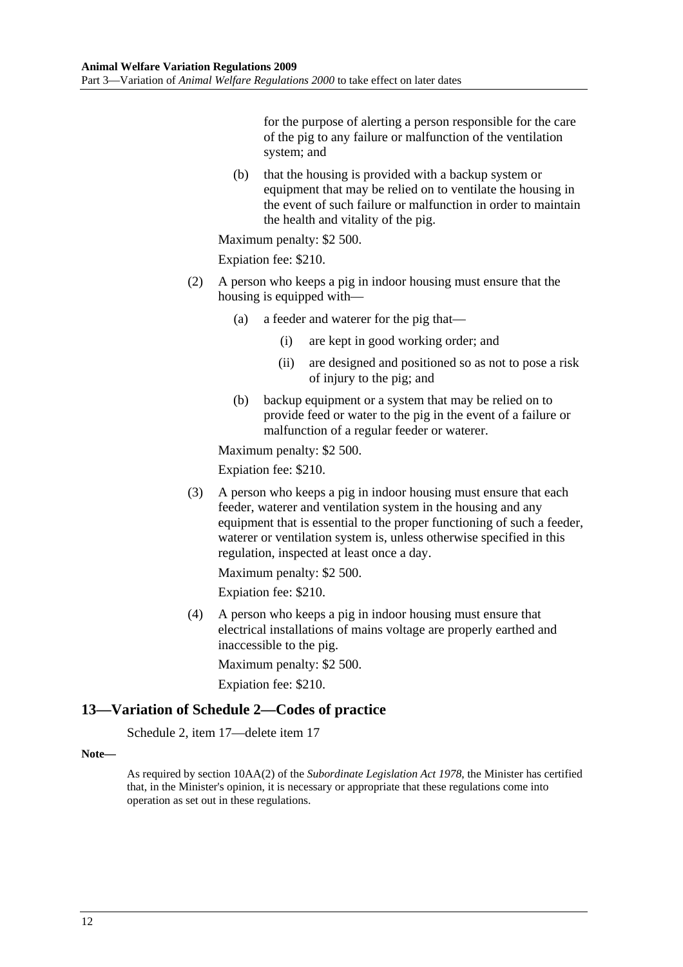for the purpose of alerting a person responsible for the care of the pig to any failure or malfunction of the ventilation system; and

 (b) that the housing is provided with a backup system or equipment that may be relied on to ventilate the housing in the event of such failure or malfunction in order to maintain the health and vitality of the pig.

Maximum penalty: \$2 500.

Expiation fee: \$210.

- (2) A person who keeps a pig in indoor housing must ensure that the housing is equipped with—
	- (a) a feeder and waterer for the pig that—
		- (i) are kept in good working order; and
		- (ii) are designed and positioned so as not to pose a risk of injury to the pig; and
	- (b) backup equipment or a system that may be relied on to provide feed or water to the pig in the event of a failure or malfunction of a regular feeder or waterer.

Maximum penalty: \$2 500.

Expiation fee: \$210.

 (3) A person who keeps a pig in indoor housing must ensure that each feeder, waterer and ventilation system in the housing and any equipment that is essential to the proper functioning of such a feeder, waterer or ventilation system is, unless otherwise specified in this regulation, inspected at least once a day.

Maximum penalty: \$2 500.

Expiation fee: \$210.

 (4) A person who keeps a pig in indoor housing must ensure that electrical installations of mains voltage are properly earthed and inaccessible to the pig.

Maximum penalty: \$2 500.

Expiation fee: \$210.

#### **13—Variation of Schedule 2—Codes of practice**

Schedule 2, item 17—delete item 17

#### **Note—**

As required by section 10AA(2) of the *Subordinate Legislation Act 1978*, the Minister has certified that, in the Minister's opinion, it is necessary or appropriate that these regulations come into operation as set out in these regulations.